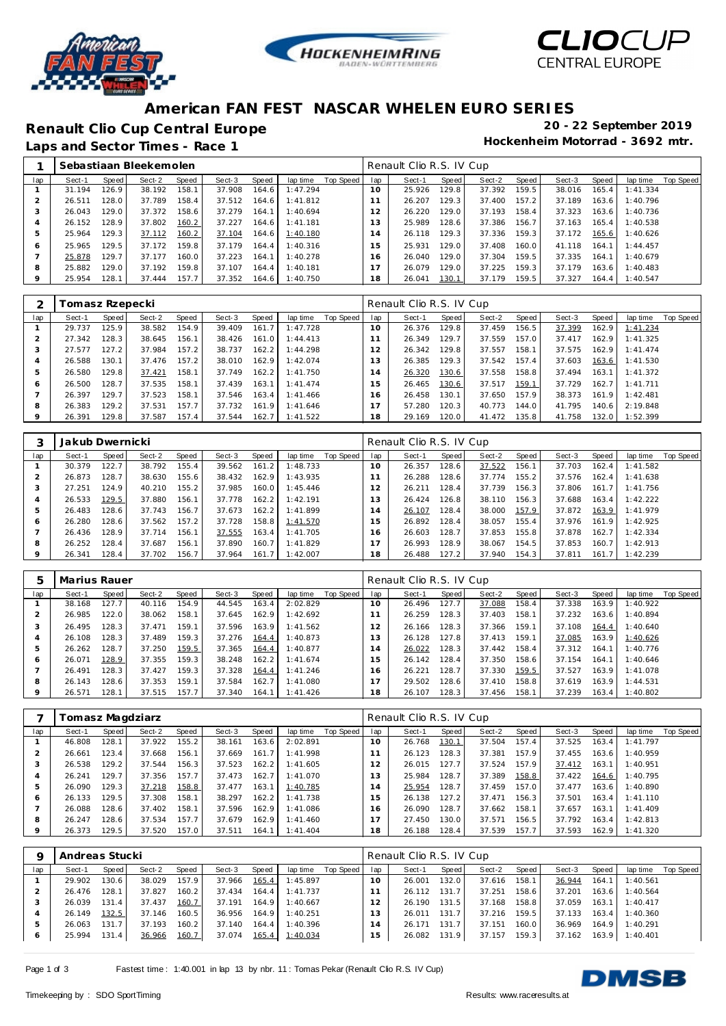





## **American FAN FEST NASCAR WHELEN EURO SERIES**

**Renault Clio Cup Central Europe 20 - 22 September 2019**

Laps and Sector Times - Race 1

|     |        |       | Sebastiaan Bleekemolen |       |        |       |          |           |     | Renault Clio R.S. IV Cup |       |        |       |        |       |          |           |
|-----|--------|-------|------------------------|-------|--------|-------|----------|-----------|-----|--------------------------|-------|--------|-------|--------|-------|----------|-----------|
| lap | Sect-1 | Speed | Sect-2                 | Speed | Sect-3 | Speed | lap time | Top Speed | lap | Sect-1                   | Speed | Sect-2 | Speed | Sect-3 | Speed | lap time | Top Speed |
|     | 31.194 | 126.9 | 38.192                 | 158.1 | 37.908 | 164.6 | 1:47.294 |           | 10  | 25.926                   | 129.8 | 37.392 | 159.5 | 38.016 | 165.4 | 1:41.334 |           |
|     | 26.511 | 128.0 | 37.789                 | 158.4 | 37.512 | 164.6 | 1:41.812 |           |     | 26.207                   | 129.3 | 37.400 | 157.2 | 37.189 | 163.6 | 1:40.796 |           |
| 3   | 26.043 | 129.0 | 37.372                 | 158.6 | 37.279 | 164.1 | 1:40.694 |           | 12  | 26.220                   | 129.0 | 37.193 | 158.4 | 37.323 | 163.6 | 1:40.736 |           |
| 4   | 26.152 | 128.9 | 37.802                 | 160.2 | 37.227 | 164.6 | 1:41.181 |           | 13  | 25.989                   | 128.6 | 37.386 | 156.7 | 37.163 | 165.4 | 1:40.538 |           |
| 5   | 25.964 | 129.3 | 37.112                 | 160.2 | 37.104 | 164.6 | 1:40.180 |           | 14  | 26.118                   | 129.3 | 37.336 | 159.3 | 37.172 | 165.6 | 1:40.626 |           |
| 6   | 25.965 | 129.5 | 37.172                 | 159.8 | 37.179 | 164.4 | 1:40.316 |           | 15  | 25.931                   | 129.0 | 37.408 | 160.0 | 41.118 | 164.1 | 1:44.457 |           |
|     | 25.878 | 129.7 | 37.177                 | 160.0 | 37.223 | 164.1 | 1:40.278 |           | 16  | 26.040                   | 129.0 | 37.304 | 159.5 | 37.335 | 164.1 | 1:40.679 |           |
| 8   | 25.882 | 129.0 | 37.192                 | 159.8 | 37.107 | 164.4 | 1:40.181 |           |     | 26.079                   | 129.0 | 37.225 | 159.3 | 37.179 | 163.6 | 1:40.483 |           |
| 9   | 25.954 | 128.1 | 37.444                 | 157.7 | 37.352 | 164.6 | 1:40.750 |           | 18  | 26.041                   | 130.1 | 37.179 | 159.5 | 37.327 | 164.4 | 1:40.547 |           |

|         | Tomasz Rzepecki |         |        |       |        |        |          |           |                | Renault Clio R.S. IV Cup |       |        |       |        |       |           |           |
|---------|-----------------|---------|--------|-------|--------|--------|----------|-----------|----------------|--------------------------|-------|--------|-------|--------|-------|-----------|-----------|
| lap     | Sect-1          | Speed I | Sect-2 | Speed | Sect-3 | Speed  | lap time | Top Speed | lap            | Sect-1                   | Speed | Sect-2 | Speed | Sect-3 | Speed | lap time  | Top Speed |
|         | 29.737          | 125.9   | 38.582 | 154.9 | 39.409 | 161.71 | 1:47.728 |           | $10^{-}$       | 26.376                   | 129.8 | 37.459 | 156.5 | 37.399 | 162.9 | 1:41.234  |           |
|         | 27.342          | 128.3   | 38.645 | 156.1 | 38.426 | 161.0  | 1:44.413 |           |                | 26.349                   | 129.7 | 37.559 | 157.0 | 37.417 | 162.9 | 1:41.325  |           |
| 3       | 27.577          | 127.2   | 37.984 | 157.2 | 38.737 | 162.2  | 1:44.298 |           | $\overline{2}$ | 26.342                   | 129.8 | 37.557 | 158.1 | 37.575 | 162.9 | 1:41.474  |           |
| 4       | 26.588          | 130.1   | 37.476 | 157.2 | 38.010 | 162.9  | 1:42.074 |           | 3              | 26.385                   | 129.3 | 37.542 | 157.4 | 37.603 | 163.6 | 1:41.530  |           |
| 5       | 26.580          | 129.8   | 37.421 | 158.1 | 37.749 | 162.2  | 1:41.750 |           | $\overline{4}$ | 26.320                   | 130.6 | 37.558 | 158.8 | 37.494 | 163.1 | 1:41.372  |           |
| O       | 26.500          | 128.7   | 37.535 | 158.1 | 37.439 | 163.1  | 1:41.474 |           | 5              | 26.465                   | 130.6 | 37.517 | 159.1 | 37.729 | 162.7 | 1: 41.711 |           |
|         | 26.397          | 129.7   | 37.523 | 158.1 | 37.546 | 163.4  | 1:41.466 |           | 16             | 26.458                   | 130.1 | 37.650 | 157.9 | 38.373 | 161.9 | 1:42.481  |           |
| 8       | 26.383          | 129.2   | 37.531 | 157.7 | 37.732 | 161.9  | 1:41.646 |           |                | 57.280                   | 120.3 | 40.773 | 144.0 | 41.795 | 140.6 | 2:19.848  |           |
| $\circ$ | 26.391          | 129.8   | 37.587 | 157.4 | 37.544 | 162.7  | 1:41.522 |           | 18             | 29.169                   | 120.0 | 41.472 | 135.8 | 41.758 | 132.0 | 1:52.399  |           |

|     | Jakub Dwernicki |       |        |       |        |       |          |           |     | Renault Clio R.S. IV Cup |       |        |       |        |       |          |           |
|-----|-----------------|-------|--------|-------|--------|-------|----------|-----------|-----|--------------------------|-------|--------|-------|--------|-------|----------|-----------|
| lap | Sect-1          | Speed | Sect-2 | Speed | Sect-3 | Speed | lap time | Top Speed | lap | Sect-1                   | Speed | Sect-2 | Speed | Sect-3 | Speed | lap time | Top Speed |
|     | 30.379          | 122.7 | 38.792 | 155.4 | 39.562 | 161.2 | 1:48.733 |           | 10  | 26.357                   | 128.6 | 37.522 | 156.1 | 37.703 | 162.4 | 1:41.582 |           |
|     | 26.873          | 128.7 | 38.630 | 155.6 | 38.432 | 162.9 | 1:43.935 |           |     | 26.288                   | 128.6 | 37.774 | 155.2 | 37.576 | 162.4 | 1:41.638 |           |
| 3   | 27.251          | 124.9 | 40.210 | 155.2 | 37.985 | 160.0 | 1:45.446 |           | 2   | 26.211                   | 128.4 | 37.739 | 156.3 | 37.806 | 161.7 | 1:41.756 |           |
| 4   | 26.533          | 129.5 | 37.880 | 156.1 | 37.778 | 162.2 | 1:42.191 |           | 13  | 26.424                   | 126.8 | 38.110 | 156.3 | 37.688 | 163.4 | 1:42.222 |           |
| 5   | 26.483          | 128.6 | 37.743 | 156.7 | 37.673 | 162.2 | 1:41.899 |           | 4   | 26.107                   | 128.4 | 38,000 | 157.9 | 37.872 | 163.9 | 1:41.979 |           |
| 6   | 26.280          | 128.6 | 37.562 | 157.2 | 37.728 | 158.8 | 1:41.570 |           | 5   | 26.892                   | 128.4 | 38.057 | 155.4 | 37.976 | 161.9 | 1:42.925 |           |
|     | 26.436          | 128.9 | 37.714 | 156.1 | 37.555 | 163.4 | 1:41.705 |           | 6   | 26.603                   | 128.7 | 37.853 | 155.8 | 37.878 | 162.7 | 1:42.334 |           |
| 8   | 26.252          | 128.4 | 37.687 | 156.1 | 37.890 | 160.7 | 1:41.829 |           |     | 26.993                   | 128.9 | 38.067 | 154.5 | 37.853 | 160.7 | 1:42.913 |           |
| 9   | 26.341          | 128.4 | 37.702 | 156.7 | 37.964 | 161.7 | 1:42.007 |           | 18  | 26.488                   | 127.2 | 37.940 | 154.3 | 37.811 | 161.7 | 1:42.239 |           |

| $\mathcal{D}$ | Marius Rauer |       |        |       |        |       |          |           |     | Renault Clio R.S. IV Cup |       |        |       |        |       |           |                  |
|---------------|--------------|-------|--------|-------|--------|-------|----------|-----------|-----|--------------------------|-------|--------|-------|--------|-------|-----------|------------------|
| lap           | Sect-1       | Speed | Sect-2 | Speed | Sect-3 | Speed | lap time | Top Speed | lap | Sect-1                   | Speed | Sect-2 | Speed | Sect-3 | Speed | lap time  | <b>Top Speed</b> |
|               | 38.168       | 127.7 | 40.116 | 154.9 | 44.545 | 163.4 | 2:02.829 |           | 10  | 26.496                   | 127.7 | 37.088 | 158.4 | 37.338 | 163.9 | I: 40.922 |                  |
|               | 26.985       | 122.0 | 38.062 | 158.1 | 37.645 | 162.9 | 1:42.692 |           |     | 26.259                   | 128.3 | 37.403 | 158.1 | 37.232 | 163.6 | 1:40.894  |                  |
| 3             | 26.495       | 128.3 | 37.471 | 159.1 | 37.596 | 163.9 | 1:41.562 |           | 2   | 26.166                   | 128.3 | 37.366 | 159.1 | 37.108 | 164.4 | 1:40.640  |                  |
| 4             | 26.108       | 128.3 | 37.489 | 159.3 | 37.276 | 164.4 | 1:40.873 |           | . 3 | 26.128                   | 127.8 | 37.413 | 159.1 | 37.085 | 163.9 | 1:40.626  |                  |
| 5             | 26.262       | 128.7 | 37.250 | 159.5 | 37.365 | 164.4 | 1:40.877 |           | l 4 | 26.022                   | 128.3 | 37.442 | 158.4 | 37.312 | 164.1 | 1:40.776  |                  |
| 6             | 26.071       | 128.9 | 37.355 | 159.3 | 38.248 | 162.2 | 1:41.674 |           | 5   | 26.142                   | 128.4 | 37.350 | 158.6 | 37.154 | 164.1 | 1:40.646  |                  |
|               | 26.491       | 128.3 | 37.427 | 159.3 | 37.328 | 164.4 | 1:41.246 |           | 16. | 26.221                   | 128.7 | 37.330 | 159.5 | 37.527 | 163.9 | 1:41.078  |                  |
| 8             | 26.143       | 128.6 | 37.353 | 159.1 | 37.584 | 162.7 | 1:41.080 |           |     | 29.502                   | 128.6 | 37.410 | 158.8 | 37.619 | 163.9 | 1:44.531  |                  |
| $\mathsf Q$   | 26.571       | 128.1 | 37.515 | 157.7 | 37.340 | 164.1 | 1:41.426 |           | 18  | 26.107                   | 128.3 | 37.456 | 158.1 | 37.239 | 163.4 | 1:40.802  |                  |

|         |        | Tomasz Magdziarz<br>Speed<br>Sect-2<br>Speed<br>lap time<br>Sect-3<br>Speed<br>Sect-1<br>155.2<br>128.1<br>46.808<br>37.922<br>163.6<br>2:02.891<br>38.161<br>123.4<br>37.668<br>156.1<br>1:41.998<br>161.7<br>26.661<br>37.669<br>26.538<br>129.2<br>37.544<br>156.3<br>162.2<br>37.523<br>1:41.605<br>157.7<br>129.7<br>26.241<br>37.356<br>162.7<br>1:41.070<br>37.473 |        |       |        |       |           |           |     | Renault Clio R.S. IV Cup |       |        |       |        |       |          |           |
|---------|--------|---------------------------------------------------------------------------------------------------------------------------------------------------------------------------------------------------------------------------------------------------------------------------------------------------------------------------------------------------------------------------|--------|-------|--------|-------|-----------|-----------|-----|--------------------------|-------|--------|-------|--------|-------|----------|-----------|
| lap     |        |                                                                                                                                                                                                                                                                                                                                                                           |        |       |        |       |           | Top Speed | lap | Sect-1                   | Speed | Sect-2 | Speed | Sect-3 | Speed | lap time | Top Speed |
|         |        |                                                                                                                                                                                                                                                                                                                                                                           |        |       |        |       |           |           | 10  | 26.768                   | 130.1 | 37.504 | 157.4 | 37.525 | 163.4 | 1:41.797 |           |
|         |        |                                                                                                                                                                                                                                                                                                                                                                           |        |       |        |       |           |           |     | 26.123                   | 128.3 | 37.381 | 157.9 | 37.455 | 163.6 | 1:40.959 |           |
| 3       |        |                                                                                                                                                                                                                                                                                                                                                                           |        |       |        |       |           |           | 12  | 26.015                   | 127.7 | 37.524 | 157.9 | 37.412 | 163.1 | 1:40.951 |           |
|         |        |                                                                                                                                                                                                                                                                                                                                                                           |        |       |        |       |           |           | 3   | 25.984                   | 128.7 | 37.389 | 158.8 | 37.422 | 164.6 | 1:40.795 |           |
| 5       | 26.090 | 129.3                                                                                                                                                                                                                                                                                                                                                                     | 37.218 | 158.8 | 37.477 | 163.1 | 1:40.785  |           | 14  | 25.954                   | 128.7 | 37.459 | 157.0 | 37.477 | 163.6 | 1:40.890 |           |
| 6       | 26.133 | 129.5                                                                                                                                                                                                                                                                                                                                                                     | 37.308 | 158.1 | 38.297 | 162.2 | 1:41.738  |           | 15  | 26.138                   | 127.2 | 37.471 | 156.3 | 37.501 | 163.4 | 1:41.110 |           |
|         | 26.088 | 128.6                                                                                                                                                                                                                                                                                                                                                                     | 37.402 | 158.1 | 37.596 | 162.9 | 1:41.086  |           | 16  | 26.090                   | 128.7 | 37.662 | 158.1 | 37.657 | 163.1 | 1:41.409 |           |
| 8       | 26.247 | 128.6                                                                                                                                                                                                                                                                                                                                                                     | 37.534 | 157.7 | 37.679 | 162.9 | 1:41.460  |           |     | 27.450                   | 130.0 | 37.571 | 156.5 | 37.792 | 163.4 | 1:42.813 |           |
| $\circ$ | 26.373 | 129.5                                                                                                                                                                                                                                                                                                                                                                     | 37.520 | 157.0 | 37.511 | 164.1 | 1: 41.404 |           | 18  | 26.188                   | 128.4 | 37.539 | 157.7 | 37.593 | 162.9 | 1:41.320 |           |

|         | Andreas Stucki |       |        |       |        |       |          |           |                | Renault Clio R.S. IV Cup |       |        |       |        |       |          |           |
|---------|----------------|-------|--------|-------|--------|-------|----------|-----------|----------------|--------------------------|-------|--------|-------|--------|-------|----------|-----------|
| lap     | Sect-1         | Speed | Sect-2 | Speed | Sect-3 | Speed | lap time | Top Speed | lap            | Sect-1                   | Speed | Sect-2 | Speed | Sect-3 | Speed | lap time | Top Speed |
|         | 29.902         | 130.6 | 38.029 | 157.9 | 37.966 | 165.4 | 1:45.897 |           | 10             | 26.001                   | 132.0 | 37.616 | 158.1 | 36.944 | 164.1 | 1:40.561 |           |
|         | 26.476         | 128.1 | 37.827 | 160.2 | 37.434 | 164.4 | 1:41.737 |           |                | 26.112                   | 131.7 | 37.251 | 158.6 | 37.201 | 163.6 | 1:40.564 |           |
|         | 26.039         | 131.4 | 37.437 | 160.7 | 37.191 | 164.9 | 1:40.667 |           |                | 26.190                   | 131.5 | 37.168 | 158.8 | 37.059 | 163.1 | 1:40.417 |           |
|         | 26.149         | 132.5 | 37.146 | 160.5 | 36.956 | 164.9 | 1:40.251 |           | 3              | 26.011                   | 131.7 | 37.216 | 159.5 | 37.133 | 163.4 | 1:40.360 |           |
|         | 26.063         | 131.7 | 37.193 | 160.2 | 37.140 | 164.4 | 1:40.396 |           | $\overline{4}$ | 26.171                   | 131.7 | 37.151 | 160.0 | 36.969 | 164.9 | 1:40.291 |           |
| $\circ$ | 25.994         | 131.4 | 36.966 | 160.7 | 37.074 | 165.4 | 1:40.034 |           | 5              | 26.082                   | 131.9 | 37.157 | 159.3 | 37.162 | 163.9 | 1:40.401 |           |

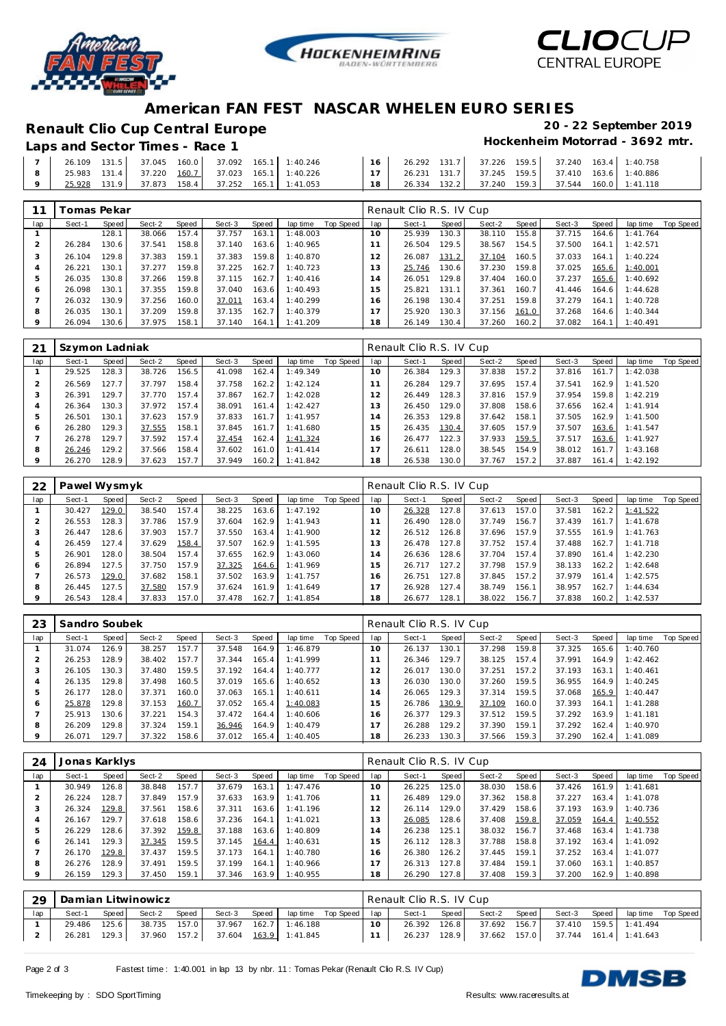





### **American FAN FEST NASCAR WHELEN EURO SERIES**

# **Renault Clio Cup Central Europe 20 - 22 September 2019**

#### Laps and Sector Times - Race 1

| 26.109  131.5  37.045  160.0  37.092  165.1  1:40.246 |  |  |  |  | $16$ 26.292 131.7 37.226 159.5 37.240 163.4 1:40.758 |  |                                                    |
|-------------------------------------------------------|--|--|--|--|------------------------------------------------------|--|----------------------------------------------------|
| 25.983  131.4  37.220  160.7  37.023  165.1  1:40.226 |  |  |  |  |                                                      |  |                                                    |
| 25.928 131.9 37.873 158.4 37.252 165.1 1:41.053       |  |  |  |  |                                                      |  | 18 26.334 132.2 37.240 159.3 37.544 160.0 1:41.118 |

|         | <sup>-</sup> omas Pekar |       |        |       |        |       |          |           |                | Renault Clio R.S. IV Cup |       |        |       |        |       |          |           |
|---------|-------------------------|-------|--------|-------|--------|-------|----------|-----------|----------------|--------------------------|-------|--------|-------|--------|-------|----------|-----------|
| lap     | Sect-1                  | Speed | Sect-2 | Speed | Sect-3 | Speed | lap time | Top Speed | lap            | Sect-1                   | Speed | Sect-2 | Speed | Sect-3 | Speed | lap time | Top Speed |
|         |                         | 128.1 | 38.066 | 157.4 | 37.757 | 163.1 | 1:48.003 |           | $10^{-}$       | 25.939                   | 130.3 | 38.110 | 155.8 | 37.715 | 164.6 | 1:41.764 |           |
|         | 26.284                  | 130.6 | 37.541 | 158.8 | 37.140 | 163.6 | 1:40.965 |           |                | 26.504                   | 129.5 | 38.567 | 154.5 | 37.500 | 164.1 | 1:42.571 |           |
| 3       | 26.104                  | 129.8 | 37.383 | 159.1 | 37.383 | 159.8 | 1:40.870 |           | $\overline{2}$ | 26.087                   | 131.2 | 37.104 | 160.5 | 37.033 | 164.1 | 1:40.224 |           |
|         | 26.221                  | 130.1 | 37.277 | 159.8 | 37.225 | 162.7 | 1:40.723 |           | 3              | 25.746                   | 130.6 | 37.230 | 159.8 | 37.025 | 165.6 | 1:40.001 |           |
| 5       | 26.035                  | 130.8 | 37.266 | 159.8 | 37.115 | 162.7 | 1:40.416 |           | $\overline{4}$ | 26.051                   | 129.8 | 37.404 | 160.0 | 37.237 | 165.6 | 1:40.692 |           |
| 6       | 26.098                  | 130.1 | 37.355 | 159.8 | 37.040 | 163.6 | 1:40.493 |           | $5 -$          | 25.821                   | 131.1 | 37.361 | 160.7 | 41.446 | 164.6 | 1:44.628 |           |
|         | 26.032                  | 130.9 | 37.256 | 160.0 | 37.011 | 163.4 | 1:40.299 |           | 6              | 26.198                   | 130.4 | 37.251 | 159.8 | 37.279 | 164.1 | 1:40.728 |           |
| 8       | 26.035                  | 130.1 | 37.209 | 159.8 | 37.135 | 162.7 | 1:40.379 |           |                | 25.920                   | 130.3 | 37.156 | 161.0 | 37.268 | 164.6 | 1:40.344 |           |
| $\circ$ | 26.094                  | 130.6 | 37.975 | 158.1 | 37.140 | 164.1 | 1:41.209 |           | 18             | 26.149                   | 130.4 | 37.260 | 160.2 | 37.082 | 164.1 | 1:40.491 |           |

|              | Szymon Ladniak |       |        |       |        |       |           |           |                 | Renault Clio R.S. IV Cup |       |        |       |        |       |          |           |
|--------------|----------------|-------|--------|-------|--------|-------|-----------|-----------|-----------------|--------------------------|-------|--------|-------|--------|-------|----------|-----------|
| lap          | Sect-1         | Speed | Sect-2 | Speed | Sect-3 | Speed | lap time  | Top Speed | lap             | Sect-1                   | Speed | Sect-2 | Speed | Sect-3 | Speed | lap time | Top Speed |
|              | 29.525         | 128.3 | 38.726 | 156.5 | 41.098 | 162.4 | 1:49.349  |           | 10 <sup>°</sup> | 26.384                   | 129.3 | 37.838 | 157.2 | 37.816 | 161.7 | 1:42.038 |           |
|              | 26.569         | 127.7 | 37.797 | 158.4 | 37.758 | 162.2 | 1:42.124  |           |                 | 26.284                   | 129.7 | 37.695 | 157.4 | 37.541 | 162.9 | 1:41.520 |           |
| 3            | 26.391         | 129.7 | 37.770 | 157.4 | 37.867 | 162.7 | 1:42.028  |           | 12              | 26.449                   | 128.3 | 37.816 | 157.9 | 37.954 | 159.8 | 1:42.219 |           |
|              | 26.364         | 130.3 | 37.972 | 157.4 | 38.091 | 161.4 | 1:42.427  |           | 3               | 26.450                   | 129.0 | 37.808 | 158.6 | 37.656 | 162.4 | 1:41.914 |           |
| 5            | 26.501         | 130.1 | 37.623 | 157.9 | 37.833 | 161.7 | 1:41.957  |           | $\overline{4}$  | 26.353                   | 129.8 | 37.642 | 158.1 | 37.505 | 162.9 | 1:41.500 |           |
| <sub>6</sub> | 26.280         | 129.3 | 37.555 | 158.1 | 37.845 | 161.7 | 1:41.680  |           | 15              | 26.435                   | 130.4 | 37.605 | 157.9 | 37.507 | 163.6 | 1:41.547 |           |
|              | 26.278         | 129.7 | 37.592 | 157.4 | 37.454 | 162.4 | 1:41.324  |           | 16              | 26.477                   | 122.3 | 37.933 | 159.5 | 37.517 | 163.6 | 1:41.927 |           |
| 8            | 26.246         | 129.2 | 37.566 | 158.4 | 37.602 | 161.0 | 1: 41.414 |           | $\overline{7}$  | 26.611                   | 128.0 | 38.545 | 154.9 | 38.012 | 161.7 | 1:43.168 |           |
|              | 26.270         | 128.9 | 37.623 | 157.7 | 37.949 | 160.2 | 1:41.842  |           | 18              | 26.538                   | 130.0 | 37.767 | 157.2 | 37.887 | 161.4 | 1:42.192 |           |

| 22      | Pawel Wysmyk |       |        |       |        |       |          |           |                | Renault Clio R.S. IV Cup |       |        |       |        |       |          |                  |
|---------|--------------|-------|--------|-------|--------|-------|----------|-----------|----------------|--------------------------|-------|--------|-------|--------|-------|----------|------------------|
| lap     | Sect-1       | Speed | Sect-2 | Speed | Sect-3 | Speed | lap time | Top Speed | lap            | Sect-1                   | Speed | Sect-2 | Speed | Sect-3 | Speed | lap time | <b>Top Speed</b> |
|         | 30.427       | 129.0 | 38.540 | 157.4 | 38.225 | 163.6 | 1:47.192 |           | $10^{-}$       | 26.328                   | 127.8 | 37.613 | 157.0 | 37.581 | 162.2 | 1:41.522 |                  |
|         | 26.553       | 128.3 | 37.786 | 157.9 | 37.604 | 162.9 | 1:41.943 |           |                | 26.490                   | 128.0 | 37.749 | 156.7 | 37.439 | 161.7 | 1:41.678 |                  |
| 3       | 26.447       | 128.6 | 37.903 | 157.7 | 37.550 | 163.4 | 1:41.900 |           | 2              | 26.512                   | 126.8 | 37.696 | 157.9 | 37.555 | 161.9 | 1:41.763 |                  |
| 4       | 26.459       | 127.4 | 37.629 | 158.4 | 37.507 | 162.9 | 1:41.595 |           | 3              | 26.478                   | 127.8 | 37.752 | 157.4 | 37.488 | 162.7 | 1:41.718 |                  |
| 5       | 26.901       | 128.0 | 38.504 | 157.4 | 37.655 | 162.9 | 1:43.060 |           | $\overline{a}$ | 26.636                   | 128.6 | 37.704 | 157.4 | 37.890 | 161.4 | 1:42.230 |                  |
| 6       | 26.894       | 127.5 | 37.750 | 157.9 | 37.325 | 164.6 | 1:41.969 |           | 15             | 26.717                   | 127.2 | 37.798 | 157.9 | 38.133 | 162.2 | 1:42.648 |                  |
|         | 26.573       | 129.0 | 37.682 | 158.1 | 37.502 | 163.9 | 1:41.757 |           | 16             | 26.751                   | 127.8 | 37.845 | 157.2 | 37.979 | 161.4 | 1:42.575 |                  |
| 8       | 26.445       | 127.5 | 37.580 | 157.9 | 37.624 | 161.9 | 1:41.649 |           | $\overline{ }$ | 26.928                   | 127.4 | 38.749 | 156.1 | 38.957 | 162.7 | 1:44.634 |                  |
| $\circ$ | 26.543       | 128.4 | 37.833 | 157.0 | 37.478 | 162.7 | 1:41.854 |           | 18             | 26.677                   | 128.1 | 38.022 | 156.7 | 37.838 | 160.2 | 1:42.537 |                  |

| 23          | Sandro Soubek |       |        |       |        |       |          |           |     | Renault Clio R.S. IV Cup |       |        |       |        |       |          |           |
|-------------|---------------|-------|--------|-------|--------|-------|----------|-----------|-----|--------------------------|-------|--------|-------|--------|-------|----------|-----------|
| lap         | Sect-1        | Speed | Sect-2 | Speed | Sect-3 | Speed | lap time | Top Speed | lap | Sect-1                   | Speed | Sect-2 | Speed | Sect-3 | Speed | lap time | Top Speed |
|             | 31.074        | 126.9 | 38.257 | 157.7 | 37.548 | 164.9 | 1:46.879 |           | 10  | 26.137                   | 130.1 | 37.298 | 159.8 | 37.325 | 165.6 | 1:40.760 |           |
|             | 26.253        | 128.9 | 38.402 | 157.7 | 37.344 | 165.4 | 1:41.999 |           |     | 26.346                   | 129.7 | 38.125 | 157.4 | 37.991 | 164.9 | 1:42.462 |           |
| 3           | 26.105        | 130.3 | 37.480 | 159.5 | 37.192 | 164.4 | 1:40.777 |           |     | 26.017                   | 130.0 | 37.251 | 157.2 | 37.193 | 163.1 | 1:40.461 |           |
|             | 26.135        | 129.8 | 37.498 | 160.5 | 37.019 | 165.6 | 1:40.652 |           | 3   | 26.030                   | 130.0 | 37.260 | 159.5 | 36.955 | 164.9 | 1:40.245 |           |
| 5           | 26.177        | 128.0 | 37.371 | 160.0 | 37.063 | 165.1 | 1:40.611 |           | 14  | 26.065                   | 129.3 | 37.314 | 159.5 | 37.068 | 165.9 | 1:40.447 |           |
| O           | 25.878        | 129.8 | 37.153 | 160.7 | 37.052 | 165.4 | 1:40.083 |           | 5   | 26.786                   | 130.9 | 37.109 | 160.0 | 37.393 | 164.1 | 1:41.288 |           |
|             | 25.913        | 130.6 | 37.221 | 154.3 | 37.472 | 164.4 | 1:40.606 |           | 16  | 26.377                   | 129.3 | 37.512 | 159.5 | 37.292 | 163.9 | 1:41.181 |           |
| 8           | 26.209        | 129.8 | 37.324 | 159.1 | 36.946 | 164.9 | 1:40.479 |           |     | 26.288                   | 129.2 | 37.390 | 159.1 | 37.292 | 162.4 | 1:40.970 |           |
| $\mathsf Q$ | 26.071        | 129.7 | 37.322 | 158.6 | 37.012 | 165.4 | 1:40.405 |           | 18  | 26.233                   | 130.3 | 37.566 | 159.3 | 37.290 | 162.4 | 1:41.089 |           |

| 24  | Jonas Karklys |       |        |       |        |       |          |           |     | Renault Clio R.S. IV Cup |       |        |       |        |       |          |           |
|-----|---------------|-------|--------|-------|--------|-------|----------|-----------|-----|--------------------------|-------|--------|-------|--------|-------|----------|-----------|
| lap | Sect-1        | Speed | Sect-2 | Speed | Sect-3 | Speed | lap time | Top Speed | lap | Sect-1                   | Speed | Sect-2 | Speed | Sect-3 | Speed | lap time | Top Speed |
|     | 30.949        | 126.8 | 38.848 | 157.7 | 37.679 | 163.1 | 1:47.476 |           | 10  | 26.225                   | 125.0 | 38.030 | 158.6 | 37.426 | 161.9 | 1:41.681 |           |
|     | 26.224        | 128.7 | 37.849 | 157.9 | 37.633 | 163.9 | 1:41.706 |           |     | 26.489                   | 129.0 | 37.362 | 158.8 | 37.227 | 163.4 | 1:41.078 |           |
|     | 26.324        | 129.8 | 37.561 | 158.6 | 37.311 | 163.6 | 1:41.196 |           |     | 26.114                   | 129.0 | 37.429 | 158.6 | 37.193 | 163.9 | 1:40.736 |           |
|     | 26.167        | 129.7 | 37.618 | 158.6 | 37.236 | 164.1 | 1:41.021 |           | 13  | 26.085                   | 128.6 | 37.408 | 159.8 | 37.059 | 164.4 | 1:40.552 |           |
|     | 26.229        | 128.6 | 37.392 | 159.8 | 37.188 | 163.6 | 1:40.809 |           | 14  | 26.238                   | 125.1 | 38.032 | 156.7 | 37.468 | 163.4 | 1:41.738 |           |
| 6   | 26.141        | 129.3 | 37.345 | 159.5 | 37.145 | 164.4 | 1:40.631 |           | 15  | 26.112                   | 128.3 | 37.788 | 158.8 | 37.192 | 163.4 | 1:41.092 |           |
|     | 26.170        | 129.8 | 37.437 | 159.5 | 37.173 | 164.1 | 1:40.780 |           | 16  | 26.380                   | 126.2 | 37.445 | 159.1 | 37.252 | 163.4 | 1:41.077 |           |
| 8   | 26.276        | 128.9 | 37.491 | 159.5 | 37.199 | 164.1 | 1:40.966 |           |     | 26.313                   | 127.8 | 37.484 | 159.1 | 37.060 | 163.1 | 1:40.857 |           |
| 9   | 26.159        | 129.3 | 37.450 | 159.1 | 37.346 | 163.9 | 1:40.955 |           | 18  | 26.290                   | 127.8 | 37.408 | 159.3 | 37.200 | 162.9 | 1:40.898 |           |

| . 29 | Damian Litwinowicz |              |                                                 |       |        |       |                         |  |  | Renault Clio R.S. IV Cup |       |        |       |                                                 |  |                                |  |  |
|------|--------------------|--------------|-------------------------------------------------|-------|--------|-------|-------------------------|--|--|--------------------------|-------|--------|-------|-------------------------------------------------|--|--------------------------------|--|--|
| lap  | Sect-1             | Speed        | Sect-2                                          | Speed | Sect-3 | Speed | lap time Top Speed lap  |  |  | Sect-1 Speed             |       | Sect-2 | Speed |                                                 |  | Sect-3 Speed laptime Top Speed |  |  |
|      |                    | 29.486 125.6 | 38.735 157.0                                    |       |        |       | 37.967  162.7  1:46.188 |  |  | 26.392                   | 126.8 |        |       | 37.692 156.7 37.410 159.5 1:41.494              |  |                                |  |  |
|      |                    |              | 26.281 129.3 37.960 157.2 37.604 163.9 1:41.845 |       |        |       |                         |  |  |                          |       |        |       | 26.237 128.9 37.662 157.0 37.744 161.4 1:41.643 |  |                                |  |  |